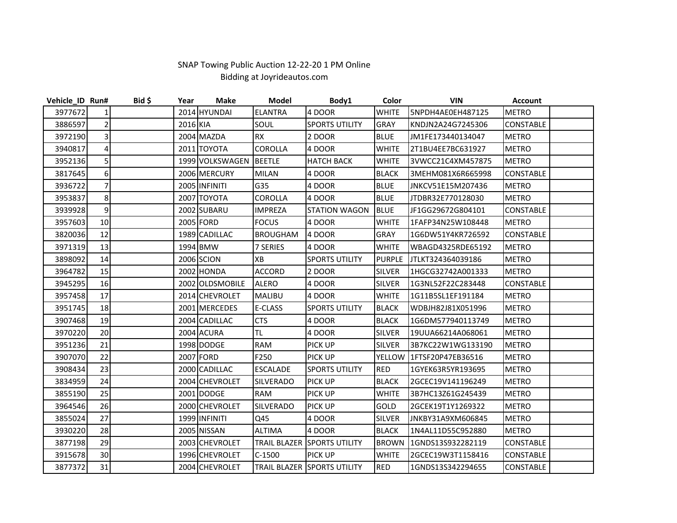## SNAP Towing Public Auction 12‐22‐20 1 PM Online Bidding at Joyrideautos.com

| Vehicle_ID Run# |                | $Bid$ \$ | Year     | <b>Make</b>     | Model               | Body1                              | Color         | <b>VIN</b>         | <b>Account</b>   |  |
|-----------------|----------------|----------|----------|-----------------|---------------------|------------------------------------|---------------|--------------------|------------------|--|
| 3977672         | 1              |          |          | 2014 HYUNDAI    | <b>ELANTRA</b>      | 4 DOOR                             | <b>WHITE</b>  | 5NPDH4AE0EH487125  | <b>METRO</b>     |  |
| 3886597         | $\overline{2}$ |          | 2016 KIA |                 | SOUL                | <b>SPORTS UTILITY</b>              | <b>GRAY</b>   | KNDJN2A24G7245306  | <b>CONSTABLE</b> |  |
| 3972190         | 3              |          |          | 2004 MAZDA      | <b>RX</b>           | 2 DOOR                             | <b>BLUE</b>   | JM1FE173440134047  | <b>METRO</b>     |  |
| 3940817         | 4              |          |          | 2011 TOYOTA     | <b>COROLLA</b>      | 4 DOOR                             | <b>WHITE</b>  | 2T1BU4EE7BC631927  | <b>METRO</b>     |  |
| 3952136         | 5              |          |          | 1999 VOLKSWAGEN | <b>BEETLE</b>       | <b>HATCH BACK</b>                  | <b>WHITE</b>  | 3VWCC21C4XM457875  | <b>METRO</b>     |  |
| 3817645         | 6              |          |          | 2006 MERCURY    | <b>MILAN</b>        | 4 DOOR                             | <b>BLACK</b>  | 3MEHM081X6R665998  | <b>CONSTABLE</b> |  |
| 3936722         | $\overline{7}$ |          |          | 2005 INFINITI   | G35                 | 4 DOOR                             | <b>BLUE</b>   | JNKCV51E15M207436  | <b>METRO</b>     |  |
| 3953837         | 8              |          |          | 2007 TOYOTA     | <b>COROLLA</b>      | 4 DOOR                             | <b>BLUE</b>   | JTDBR32E770128030  | <b>METRO</b>     |  |
| 3939928         | 9              |          |          | 2002 SUBARU     | <b>IMPREZA</b>      | <b>STATION WAGON</b>               | <b>BLUE</b>   | JF1GG29672G804101  | CONSTABLE        |  |
| 3957603         | 10             |          |          | 2005 FORD       | <b>FOCUS</b>        | 4 DOOR                             | <b>WHITE</b>  | I1FAFP34N25W108448 | <b>METRO</b>     |  |
| 3820036         | 12             |          |          | 1989 CADILLAC   | <b>BROUGHAM</b>     | 4 DOOR                             | GRAY          | 1G6DW51Y4KR726592  | CONSTABLE        |  |
| 3971319         | 13             |          |          | 1994 BMW        | 7 SERIES            | 4 DOOR                             | <b>WHITE</b>  | WBAGD4325RDE65192  | <b>METRO</b>     |  |
| 3898092         | 14             |          |          | 2006 SCION      | XB                  | <b>SPORTS UTILITY</b>              | <b>PURPLE</b> | JTLKT324364039186  | <b>METRO</b>     |  |
| 3964782         | 15             |          |          | 2002 HONDA      | <b>ACCORD</b>       | 2 DOOR                             | <b>SILVER</b> | 1HGCG32742A001333  | <b>METRO</b>     |  |
| 3945295         | 16             |          |          | 2002 OLDSMOBILE | <b>ALERO</b>        | 4 DOOR                             | <b>SILVER</b> | I1G3NL52F22C283448 | <b>CONSTABLE</b> |  |
| 3957458         | 17             |          |          | 2014 CHEVROLET  | <b>MALIBU</b>       | 4 DOOR                             | <b>WHITE</b>  | I1G11B5SL1EF191184 | <b>METRO</b>     |  |
| 3951745         | 18             |          |          | 2001 MERCEDES   | E-CLASS             | <b>SPORTS UTILITY</b>              | <b>BLACK</b>  | WDBJH82J81X051996  | <b>METRO</b>     |  |
| 3907468         | 19             |          |          | 2004 CADILLAC   | <b>CTS</b>          | 4 DOOR                             | <b>BLACK</b>  | 1G6DM577940113749  | <b>METRO</b>     |  |
| 3970220         | 20             |          |          | 2004 ACURA      | TL.                 | 4 DOOR                             | <b>SILVER</b> | 19UUA66214A068061  | <b>METRO</b>     |  |
| 3951236         | 21             |          |          | 1998 DODGE      | <b>RAM</b>          | PICK UP                            | <b>SILVER</b> | 3B7KC22W1WG133190  | <b>METRO</b>     |  |
| 3907070         | 22             |          |          | 2007 FORD       | F250                | PICK UP                            | YELLOW        | 1FTSF20P47EB36516  | <b>METRO</b>     |  |
| 3908434         | 23             |          |          | 2000 CADILLAC   | <b>ESCALADE</b>     | <b>SPORTS UTILITY</b>              | <b>RED</b>    | 1GYEK63R5YR193695  | <b>METRO</b>     |  |
| 3834959         | 24             |          |          | 2004 CHEVROLET  | <b>SILVERADO</b>    | <b>PICK UP</b>                     | <b>BLACK</b>  | 2GCEC19V141196249  | <b>METRO</b>     |  |
| 3855190         | 25             |          |          | 2001 DODGE      | <b>RAM</b>          | <b>PICK UP</b>                     | <b>WHITE</b>  | 3B7HC13Z61G245439  | <b>METRO</b>     |  |
| 3964546         | 26             |          |          | 2000 CHEVROLET  | <b>SILVERADO</b>    | <b>PICK UP</b>                     | GOLD          | 2GCEK19T1Y1269322  | <b>METRO</b>     |  |
| 3855024         | 27             |          |          | 1999 INFINITI   | Q45                 | 4 DOOR                             | <b>SILVER</b> | JNKBY31A9XM606845  | <b>METRO</b>     |  |
| 3930220         | 28             |          |          | 2005 NISSAN     | <b>ALTIMA</b>       | 4 DOOR                             | <b>BLACK</b>  | 1N4AL11D55C952880  | <b>METRO</b>     |  |
| 3877198         | 29             |          |          | 2003 CHEVROLET  | <b>TRAIL BLAZER</b> | <b>SPORTS UTILITY</b>              | <b>BROWN</b>  | 1GNDS13S932282119  | <b>CONSTABLE</b> |  |
| 3915678         | 30             |          |          | 1996 CHEVROLET  | $C-1500$            | <b>PICK UP</b>                     | <b>WHITE</b>  | 2GCEC19W3T1158416  | CONSTABLE        |  |
| 3877372         | 31             |          |          | 2004 CHEVROLET  |                     | <b>TRAIL BLAZER SPORTS UTILITY</b> | <b>RED</b>    | 1GNDS13S342294655  | <b>CONSTABLE</b> |  |